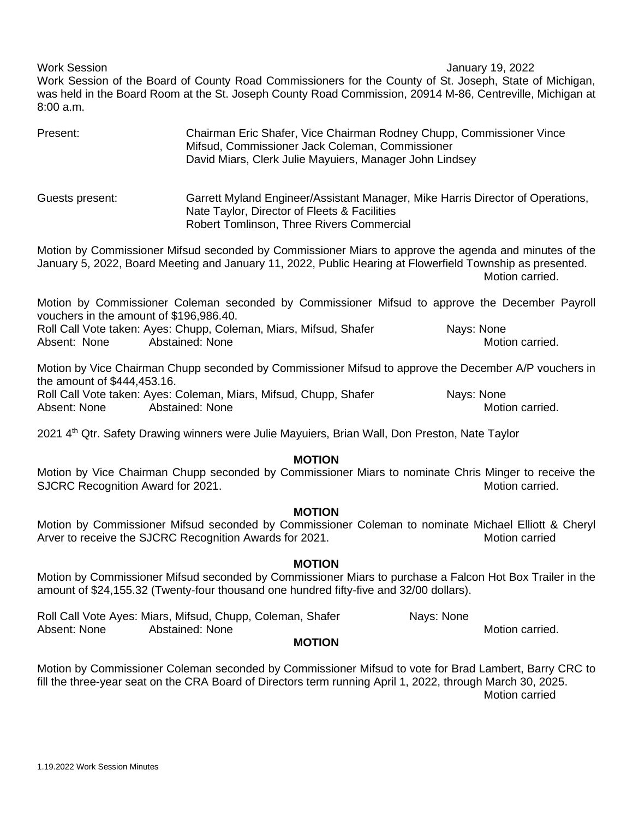Work Session January 19, 2022

Work Session of the Board of County Road Commissioners for the County of St. Joseph, State of Michigan, was held in the Board Room at the St. Joseph County Road Commission, 20914 M-86, Centreville, Michigan at 8:00 a.m.

| Present:        | Chairman Eric Shafer, Vice Chairman Rodney Chupp, Commissioner Vince<br>Mifsud, Commissioner Jack Coleman, Commissioner<br>David Miars, Clerk Julie Mayuiers, Manager John Lindsey |
|-----------------|------------------------------------------------------------------------------------------------------------------------------------------------------------------------------------|
| Guests present: | Garrett Myland Engineer/Assistant Manager, Mike Harris Director of Operations,<br>Nate Taylor, Director of Fleets & Facilities                                                     |
|                 | Robert Tomlinson, Three Rivers Commercial                                                                                                                                          |
|                 | Motion by Commissioner Mifeud seconded by Commissioner Migrs to approve the agonda and minutes of the                                                                              |

Motion by Commissioner Mifsud seconded by Commissioner Miars to approve the agenda and minutes of the January 5, 2022, Board Meeting and January 11, 2022, Public Hearing at Flowerfield Township as presented. Motion carried.

Motion by Commissioner Coleman seconded by Commissioner Mifsud to approve the December Payroll vouchers in the amount of \$196,986.40.

Roll Call Vote taken: Ayes: Chupp, Coleman, Miars, Mifsud, Shafer Nays: None Absent: None Abstained: None Abstained: None Motion carried.

Motion by Vice Chairman Chupp seconded by Commissioner Mifsud to approve the December A/P vouchers in the amount of \$444,453.16. Roll Call Vote taken: Ayes: Coleman, Miars, Mifsud, Chupp, Shafer Nays: None Absent: None Abstained: None Abstant: Abstant: Absent: None Motion carried.

2021 4<sup>th</sup> Qtr. Safety Drawing winners were Julie Mayuiers, Brian Wall, Don Preston, Nate Taylor

## **MOTION**

Motion by Vice Chairman Chupp seconded by Commissioner Miars to nominate Chris Minger to receive the SJCRC Recognition Award for 2021.

# **MOTION**

Motion by Commissioner Mifsud seconded by Commissioner Coleman to nominate Michael Elliott & Cheryl Arver to receive the SJCRC Recognition Awards for 2021.

### **MOTION**

Motion by Commissioner Mifsud seconded by Commissioner Miars to purchase a Falcon Hot Box Trailer in the amount of \$24,155.32 (Twenty-four thousand one hundred fifty-five and 32/00 dollars).

Roll Call Vote Ayes: Miars, Mifsud, Chupp, Coleman, Shafer Nays: None Absent: None Abstained: None Motion carried.

### **MOTION**

Motion by Commissioner Coleman seconded by Commissioner Mifsud to vote for Brad Lambert, Barry CRC to fill the three-year seat on the CRA Board of Directors term running April 1, 2022, through March 30, 2025. Motion carried